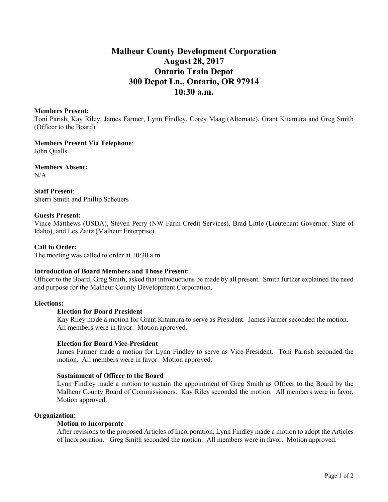# **Malheur County Development Corporation August 28, 2017 Ontario Train Depot 300 Depot Ln., Ontario, OR 97914 10:30 a.m.**

#### **Members Present:**

Toni Parish, Kay Riley, James Farmer, Lynn Findley, Corey Maag (Alternate), Grant Kitamura and Greg Smith (Officer to the Board)

**Members Present Via Telephone**: John Qualls

**Members Absent:** N/A

**Staff Present**: Sherri Smith and Phillip Scheuers

## **Guests Present:**

Vince Matthews (USDA), Steven Perry (NW Farm Credit Services), Brad Little (Lieutenant Governor, State of Idaho), and Les Zaitz (Malheur Enterprise)

# **Call to Order:**

The meeting was called to order at 10:30 a.m.

## **Introduction of Board Members and Those Present:**

Officer to the Board, Greg Smith, asked that introductions be made by all present. Smith further explained the need and purpose for the Malheur County Development Corporation.

# **Elections:**

#### **Election for Board President**

Kay Riley made a motion for Grant Kitamura to serve as President. James Farmer seconded the motion. All members were in favor. Motion approved.

#### **Election for Board Vice-President**

James Farmer made a motion for Lynn Findley to serve as Vice-President. Toni Parrish seconded the motion. All members were in favor. Motion approved.

#### **Sustainment of Officer to the Board**

Lynn Findley made a motion to sustain the appointment of Greg Smith as Officer to the Board by the Malheur County Board of Commissioners. Kay Riley seconded the motion. All members were in favor. Motion approved.

# **Organization:**

# **Motion to Incorporate**

After revisions to the proposed Articles of Incorporation, Lynn Findley made a motion to adopt the Articles of Incorporation. Greg Smith seconded the motion. All members were in favor. Motion approved.